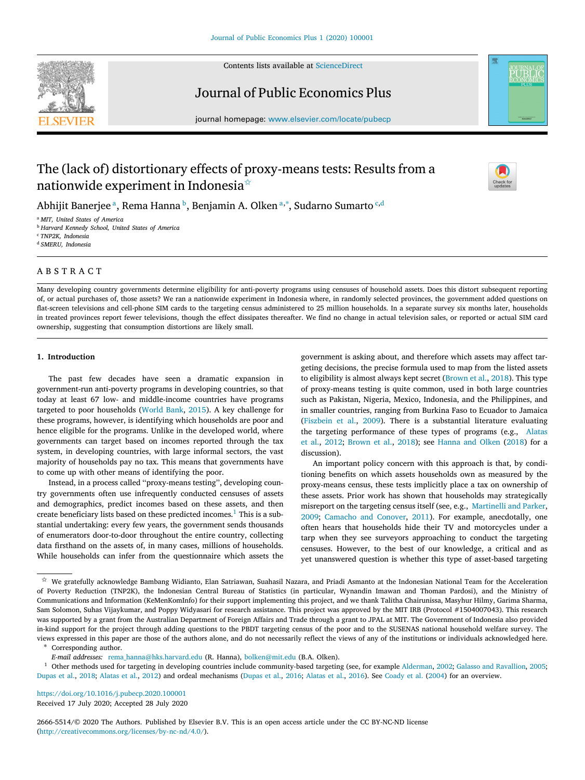

Contents lists available at [ScienceDirect](http://www.elsevier.com/locate/pubecp)

# Journal of Public Economics Plus



journal homepage: [www.elsevier.com/locate/pubecp](http://www.elsevier.com/locate/pubecp)

# The (lack of) distortionary effects of proxy-means tests: Results from a nationwide experiment in Indonesia $\dot{\alpha}$



Abhijit Banerjee ª, Rema Hanna <sup>b</sup>, Benjamin A. Olken ª,\*, Sudarno Sumarto <sup>c,d</sup>

<sup>a</sup> *MIT, United States of America*

<sup>b</sup> *Harvard Kennedy School, United States of America*

<sup>c</sup> *TNP2K, Indonesia*

<sup>d</sup> *SMERU, Indonesia*

# A B S T R A C T

Many developing country governments determine eligibility for anti-poverty programs using censuses of household assets. Does this distort subsequent reporting of, or actual purchases of, those assets? We ran a nationwide experiment in Indonesia where, in randomly selected provinces, the government added questions on flat-screen televisions and cell-phone SIM cards to the targeting census administered to 25 million households. In a separate survey six months later, households in treated provinces report fewer televisions, though the effect dissipates thereafter. We find no change in actual television sales, or reported or actual SIM card ownership, suggesting that consumption distortions are likely small.

# **1. Introduction**

The past few decades have seen a dramatic expansion in government-run anti-poverty programs in developing countries, so that today at least 67 low- and middle-income countries have programs targeted to poor households (World Bank, 2015). A key challenge for these programs, however, is identifying which households are poor and hence eligible for the programs. Unlike in the developed world, where governments can target based on incomes reported through the tax system, in developing countries, with large informal sectors, the vast majority of households pay no tax. This means that governments have to come up with other means of identifying the poor.

Instead, in a process called ''proxy-means testing'', developing country governments often use infrequently conducted censuses of assets and demographics, predict incomes based on these assets, and then create beneficiary lists based on these predicted incomes.<sup>1</sup> This is a substantial undertaking: every few years, the government sends thousands of enumerators door-to-door throughout the entire country, collecting data firsthand on the assets of, in many cases, millions of households. While households can infer from the questionnaire which assets the government is asking about, and therefore which assets may affect targeting decisions, the precise formula used to map from the listed assets to eligibility is almost always kept secret (Brown et al., 2018). This type of proxy-means testing is quite common, used in both large countries such as Pakistan, Nigeria, Mexico, Indonesia, and the Philippines, and in smaller countries, ranging from Burkina Faso to Ecuador to Jamaica (Fiszbein et al., 2009). There is a substantial literature evaluating the targeting performance of these types of programs (e.g., Alatas et al., 2012; Brown et al., 2018); see Hanna and Olken (2018) for a discussion).

An important policy concern with this approach is that, by conditioning benefits on which assets households own as measured by the proxy-means census, these tests implicitly place a tax on ownership of these assets. Prior work has shown that households may strategically misreport on the targeting census itself (see, e.g., Martinelli and Parker, 2009; Camacho and Conover, 2011). For example, anecdotally, one often hears that households hide their TV and motorcycles under a tarp when they see surveyors approaching to conduct the targeting censuses. However, to the best of our knowledge, a critical and as yet unanswered question is whether this type of asset-based targeting

Corresponding author.

*E-mail addresses:* [rema\\_hanna@hks.harvard.edu](mailto:rema_hanna@hks.harvard.edu) (R. Hanna), [bolken@mit.edu](mailto:bolken@mit.edu) (B.A. Olken).

<sup>1</sup> Other methods used for targeting in developing countries include community-based targeting (see, for example Alderman, 2002; Galasso and Ravallion, 2005; Dupas et al., 2018; Alatas et al., 2012) and ordeal mechanisms (Dupas et al., 2016; Alatas et al., 2016). See Coady et al. (2004) for an overview.

<https://doi.org/10.1016/j.pubecp.2020.100001>

Received 17 July 2020; Accepted 28 July 2020

2666-5514/© 2020 The Authors. Published by Elsevier B.V. This is an open access article under the CC BY-NC-ND license [\(http://creativecommons.org/licenses/by-nc-nd/4.0/\)](http://creativecommons.org/licenses/by-nc-nd/4.0/).

 $\overrightarrow{x}$  We gratefully acknowledge Bambang Widianto, Elan Satriawan, Suahasil Nazara, and Priadi Asmanto at the Indonesian National Team for the Acceleration of Poverty Reduction (TNP2K), the Indonesian Central Bureau of Statistics (in particular, Wynandin Imawan and Thoman Pardosi), and the Ministry of Communications and Information (KeMenKomInfo) for their support implementing this project, and we thank Talitha Chairunissa, Masyhur Hilmy, Garima Sharma, Sam Solomon, Suhas Vijaykumar, and Poppy Widyasari for research assistance. This project was approved by the MIT IRB (Protocol #1504007043). This research was supported by a grant from the Australian Department of Foreign Affairs and Trade through a grant to JPAL at MIT. The Government of Indonesia also provided in-kind support for the project through adding questions to the PBDT targeting census of the poor and to the SUSENAS national household welfare survey. The views expressed in this paper are those of the authors alone, and do not necessarily reflect the views of any of the institutions or individuals acknowledged here.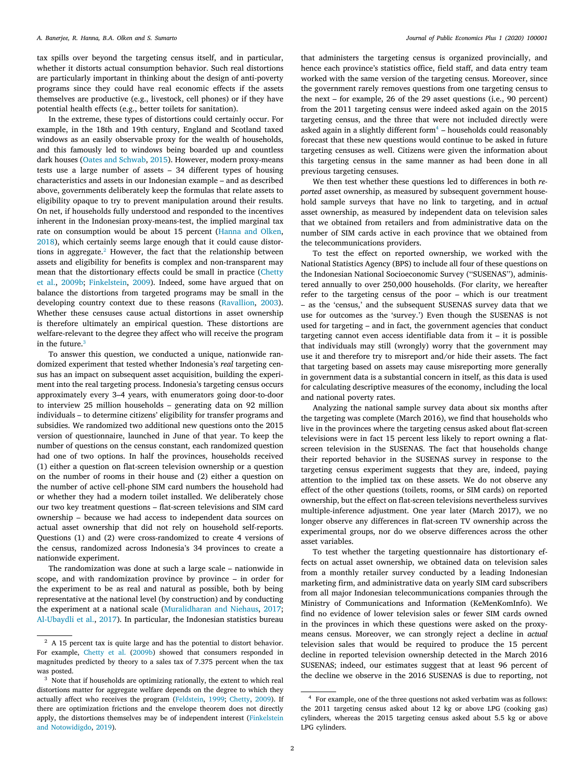tax spills over beyond the targeting census itself, and in particular, whether it distorts actual consumption behavior. Such real distortions are particularly important in thinking about the design of anti-poverty programs since they could have real economic effects if the assets themselves are productive (e.g., livestock, cell phones) or if they have potential health effects (e.g., better toilets for sanitation).

In the extreme, these types of distortions could certainly occur. For example, in the 18th and 19th century, England and Scotland taxed windows as an easily observable proxy for the wealth of households, and this famously led to windows being boarded up and countless dark houses (Oates and Schwab, 2015). However, modern proxy-means tests use a large number of assets – 34 different types of housing characteristics and assets in our Indonesian example – and as described above, governments deliberately keep the formulas that relate assets to eligibility opaque to try to prevent manipulation around their results. On net, if households fully understood and responded to the incentives inherent in the Indonesian proxy-means-test, the implied marginal tax rate on consumption would be about 15 percent (Hanna and Olken, 2018), which certainly seems large enough that it could cause distortions in aggregate.<sup>2</sup> However, the fact that the relationship between assets and eligibility for benefits is complex and non-transparent may mean that the distortionary effects could be small in practice (Chetty et al., 2009b; Finkelstein, 2009). Indeed, some have argued that on balance the distortions from targeted programs may be small in the developing country context due to these reasons (Ravallion, 2003). Whether these censuses cause actual distortions in asset ownership is therefore ultimately an empirical question. These distortions are welfare-relevant to the degree they affect who will receive the program in the future.<sup>3</sup>

To answer this question, we conducted a unique, nationwide randomized experiment that tested whether Indonesia's *real* targeting census has an impact on subsequent asset acquisition, building the experiment into the real targeting process. Indonesia's targeting census occurs approximately every 3–4 years, with enumerators going door-to-door to interview 25 million households – generating data on 92 million individuals – to determine citizens' eligibility for transfer programs and subsidies. We randomized two additional new questions onto the 2015 version of questionnaire, launched in June of that year. To keep the number of questions on the census constant, each randomized question had one of two options. In half the provinces, households received (1) either a question on flat-screen television ownership or a question on the number of rooms in their house and (2) either a question on the number of active cell-phone SIM card numbers the household had or whether they had a modern toilet installed. We deliberately chose our two key treatment questions – flat-screen televisions and SIM card ownership – because we had access to independent data sources on actual asset ownership that did not rely on household self-reports. Questions (1) and (2) were cross-randomized to create 4 versions of the census, randomized across Indonesia's 34 provinces to create a nationwide experiment.

The randomization was done at such a large scale – nationwide in scope, and with randomization province by province – in order for the experiment to be as real and natural as possible, both by being representative at the national level (by construction) and by conducting the experiment at a national scale (Muralidharan and Niehaus, 2017; Al-Ubaydli et al., 2017). In particular, the Indonesian statistics bureau

that administers the targeting census is organized provincially, and hence each province's statistics office, field staff, and data entry team worked with the same version of the targeting census. Moreover, since the government rarely removes questions from one targeting census to the next – for example, 26 of the 29 asset questions (i.e., 90 percent) from the 2011 targeting census were indeed asked again on the 2015 targeting census, and the three that were not included directly were asked again in a slightly different form $4$  – households could reasonably forecast that these new questions would continue to be asked in future targeting censuses as well. Citizens were given the information about this targeting census in the same manner as had been done in all previous targeting censuses.

We then test whether these questions led to differences in both *reported* asset ownership, as measured by subsequent government household sample surveys that have no link to targeting, and in *actual* asset ownership, as measured by independent data on television sales that we obtained from retailers and from administrative data on the number of SIM cards active in each province that we obtained from the telecommunications providers.

To test the effect on reported ownership, we worked with the National Statistics Agency (BPS) to include all four of these questions on the Indonesian National Socioeconomic Survey (''SUSENAS''), administered annually to over 250,000 households. (For clarity, we hereafter refer to the targeting census of the poor – which is our treatment – as the 'census,' and the subsequent SUSENAS survey data that we use for outcomes as the 'survey.') Even though the SUSENAS is not used for targeting – and in fact, the government agencies that conduct targeting cannot even access identifiable data from it – it is possible that individuals may still (wrongly) worry that the government may use it and therefore try to misreport and/or hide their assets. The fact that targeting based on assets may cause misreporting more generally in government data is a substantial concern in itself, as this data is used for calculating descriptive measures of the economy, including the local and national poverty rates.

Analyzing the national sample survey data about six months after the targeting was complete (March 2016), we find that households who live in the provinces where the targeting census asked about flat-screen televisions were in fact 15 percent less likely to report owning a flatscreen television in the SUSENAS. The fact that households change their reported behavior in the SUSENAS survey in response to the targeting census experiment suggests that they are, indeed, paying attention to the implied tax on these assets. We do not observe any effect of the other questions (toilets, rooms, or SIM cards) on reported ownership, but the effect on flat-screen televisions nevertheless survives multiple-inference adjustment. One year later (March 2017), we no longer observe any differences in flat-screen TV ownership across the experimental groups, nor do we observe differences across the other asset variables.

To test whether the targeting questionnaire has distortionary effects on actual asset ownership, we obtained data on television sales from a monthly retailer survey conducted by a leading Indonesian marketing firm, and administrative data on yearly SIM card subscribers from all major Indonesian telecommunications companies through the Ministry of Communications and Information (KeMenKomInfo). We find no evidence of lower television sales or fewer SIM cards owned in the provinces in which these questions were asked on the proxymeans census. Moreover, we can strongly reject a decline in *actual* television sales that would be required to produce the 15 percent decline in reported television ownership detected in the March 2016 SUSENAS; indeed, our estimates suggest that at least 96 percent of the decline we observe in the 2016 SUSENAS is due to reporting, not

<sup>&</sup>lt;sup>2</sup> A 15 percent tax is quite large and has the potential to distort behavior. For example, Chetty et al. (2009b) showed that consumers responded in magnitudes predicted by theory to a sales tax of 7.375 percent when the tax was posted.

<sup>&</sup>lt;sup>3</sup> Note that if households are optimizing rationally, the extent to which real distortions matter for aggregate welfare depends on the degree to which they actually affect who receives the program (Feldstein, 1999; Chetty, 2009). If there are optimization frictions and the envelope theorem does not directly apply, the distortions themselves may be of independent interest (Finkelstein and Notowidigdo, 2019).

<sup>4</sup> For example, one of the three questions not asked verbatim was as follows: the 2011 targeting census asked about 12 kg or above LPG (cooking gas) cylinders, whereas the 2015 targeting census asked about 5.5 kg or above LPG cylinders.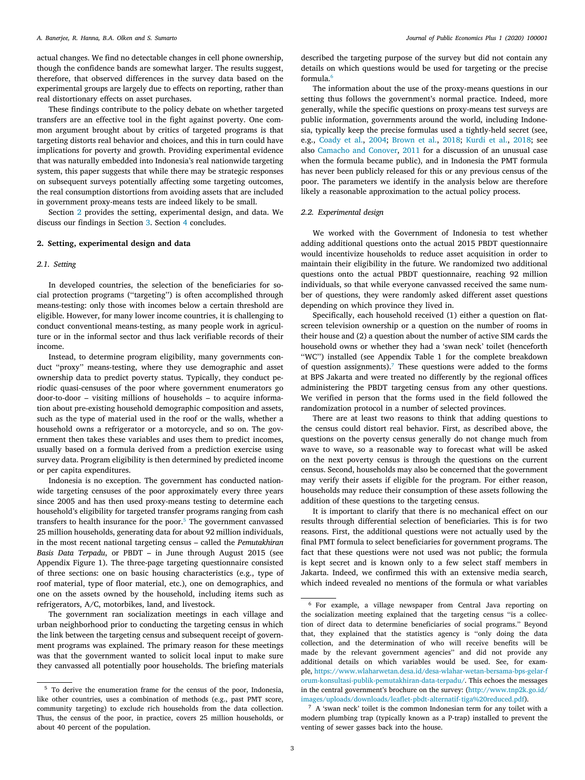actual changes. We find no detectable changes in cell phone ownership, though the confidence bands are somewhat larger. The results suggest, therefore, that observed differences in the survey data based on the experimental groups are largely due to effects on reporting, rather than real distortionary effects on asset purchases.

These findings contribute to the policy debate on whether targeted transfers are an effective tool in the fight against poverty. One common argument brought about by critics of targeted programs is that targeting distorts real behavior and choices, and this in turn could have implications for poverty and growth. Providing experimental evidence that was naturally embedded into Indonesia's real nationwide targeting system, this paper suggests that while there may be strategic responses on subsequent surveys potentially affecting some targeting outcomes, the real consumption distortions from avoiding assets that are included in government proxy-means tests are indeed likely to be small.

Section 2 provides the setting, experimental design, and data. We discuss our findings in Section 3. Section 4 concludes.

# **2. Setting, experimental design and data**

### *2.1. Setting*

In developed countries, the selection of the beneficiaries for social protection programs (''targeting'') is often accomplished through means-testing: only those with incomes below a certain threshold are eligible. However, for many lower income countries, it is challenging to conduct conventional means-testing, as many people work in agriculture or in the informal sector and thus lack verifiable records of their income.

Instead, to determine program eligibility, many governments conduct ''proxy'' means-testing, where they use demographic and asset ownership data to predict poverty status. Typically, they conduct periodic quasi-censuses of the poor where government enumerators go door-to-door – visiting millions of households – to acquire information about pre-existing household demographic composition and assets, such as the type of material used in the roof or the walls, whether a household owns a refrigerator or a motorcycle, and so on. The government then takes these variables and uses them to predict incomes, usually based on a formula derived from a prediction exercise using survey data. Program eligibility is then determined by predicted income or per capita expenditures.

Indonesia is no exception. The government has conducted nationwide targeting censuses of the poor approximately every three years since 2005 and has then used proxy-means testing to determine each household's eligibility for targeted transfer programs ranging from cash transfers to health insurance for the poor. $5$  The government canvassed 25 million households, generating data for about 92 million individuals, in the most recent national targeting census – called the *Pemutakhiran Basis Data Terpadu*, or PBDT – in June through August 2015 (see Appendix Figure 1). The three-page targeting questionnaire consisted of three sections: one on basic housing characteristics (e.g., type of roof material, type of floor material, etc.), one on demographics, and one on the assets owned by the household, including items such as refrigerators, A/C, motorbikes, land, and livestock.

The government ran socialization meetings in each village and urban neighborhood prior to conducting the targeting census in which the link between the targeting census and subsequent receipt of government programs was explained. The primary reason for these meetings was that the government wanted to solicit local input to make sure they canvassed all potentially poor households. The briefing materials

described the targeting purpose of the survey but did not contain any details on which questions would be used for targeting or the precise formula.6

The information about the use of the proxy-means questions in our setting thus follows the government's normal practice. Indeed, more generally, while the specific questions on proxy-means test surveys are public information, governments around the world, including Indonesia, typically keep the precise formulas used a tightly-held secret (see, e.g., Coady et al., 2004; Brown et al., 2018; Kurdi et al., 2018; see also Camacho and Conover, 2011 for a discussion of an unusual case when the formula became public), and in Indonesia the PMT formula has never been publicly released for this or any previous census of the poor. The parameters we identify in the analysis below are therefore likely a reasonable approximation to the actual policy process.

#### *2.2. Experimental design*

We worked with the Government of Indonesia to test whether adding additional questions onto the actual 2015 PBDT questionnaire would incentivize households to reduce asset acquisition in order to maintain their eligibility in the future. We randomized two additional questions onto the actual PBDT questionnaire, reaching 92 million individuals, so that while everyone canvassed received the same number of questions, they were randomly asked different asset questions depending on which province they lived in.

Specifically, each household received (1) either a question on flatscreen television ownership or a question on the number of rooms in their house and (2) a question about the number of active SIM cards the household owns or whether they had a 'swan neck' toilet (henceforth ''WC'') installed (see Appendix Table 1 for the complete breakdown of question assignments).<sup>7</sup> These questions were added to the forms at BPS Jakarta and were treated no differently by the regional offices administering the PBDT targeting census from any other questions. We verified in person that the forms used in the field followed the randomization protocol in a number of selected provinces.

There are at least two reasons to think that adding questions to the census could distort real behavior. First, as described above, the questions on the poverty census generally do not change much from wave to wave, so a reasonable way to forecast what will be asked on the next poverty census is through the questions on the current census. Second, households may also be concerned that the government may verify their assets if eligible for the program. For either reason, households may reduce their consumption of these assets following the addition of these questions to the targeting census.

It is important to clarify that there is no mechanical effect on our results through differential selection of beneficiaries. This is for two reasons. First, the additional questions were not actually used by the final PMT formula to select beneficiaries for government programs. The fact that these questions were not used was not public; the formula is kept secret and is known only to a few select staff members in Jakarta. Indeed, we confirmed this with an extensive media search, which indeed revealed no mentions of the formula or what variables

<sup>5</sup> To derive the enumeration frame for the census of the poor, Indonesia, like other countries, uses a combination of methods (e.g., past PMT score, community targeting) to exclude rich households from the data collection. Thus, the census of the poor, in practice, covers 25 million households, or about 40 percent of the population.

<sup>6</sup> For example, a village newspaper from Central Java reporting on the socialization meeting explained that the targeting census ''is a collection of direct data to determine beneficiaries of social programs.'' Beyond that, they explained that the statistics agency is ''only doing the data collection, and the determination of who will receive benefits will be made by the relevant government agencies'' and did not provide any additional details on which variables would be used. See, for example, [https://www.wlaharwetan.desa.id/desa-wlahar-wetan-bersama-bps-gelar-f](https://www.wlaharwetan.desa.id/desa-wlahar-wetan-bersama-bps-gelar-forum-konsultasi-publik-pemutakhiran-data-terpadu/) [orum-konsultasi-publik-pemutakhiran-data-terpadu/](https://www.wlaharwetan.desa.id/desa-wlahar-wetan-bersama-bps-gelar-forum-konsultasi-publik-pemutakhiran-data-terpadu/). This echoes the messages in the central government's brochure on the survey: ([http://www.tnp2k.go.id/](http://www.tnp2k.go.id/images/uploads/downloads/leaflet-pbdt-alternatif-tiga%20reduced.pdf) [images/uploads/downloads/leaflet-pbdt-alternatif-tiga%20reduced.pdf\)](http://www.tnp2k.go.id/images/uploads/downloads/leaflet-pbdt-alternatif-tiga%20reduced.pdf).

<sup>7</sup> A 'swan neck' toilet is the common Indonesian term for any toilet with a modern plumbing trap (typically known as a P-trap) installed to prevent the venting of sewer gasses back into the house.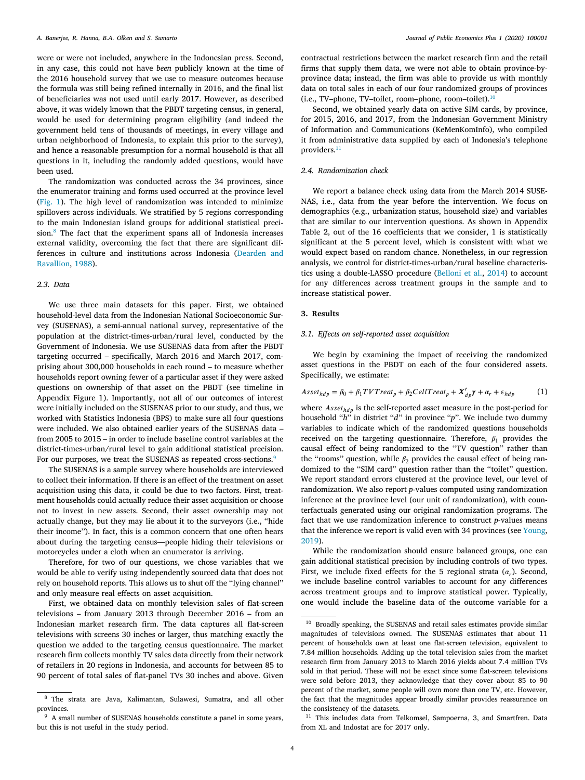were or were not included, anywhere in the Indonesian press. Second, in any case, this could not have *been* publicly known at the time of the 2016 household survey that we use to measure outcomes because the formula was still being refined internally in 2016, and the final list of beneficiaries was not used until early 2017. However, as described above, it was widely known that the PBDT targeting census, in general, would be used for determining program eligibility (and indeed the government held tens of thousands of meetings, in every village and urban neighborhood of Indonesia, to explain this prior to the survey), and hence a reasonable presumption for a normal household is that all questions in it, including the randomly added questions, would have been used.

The randomization was conducted across the 34 provinces, since the enumerator training and forms used occurred at the province level (Fig. 1). The high level of randomization was intended to minimize spillovers across individuals. We stratified by 5 regions corresponding to the main Indonesian island groups for additional statistical precision.8 The fact that the experiment spans all of Indonesia increases external validity, overcoming the fact that there are significant differences in culture and institutions across Indonesia (Dearden and Ravallion, 1988).

# *2.3. Data*

We use three main datasets for this paper. First, we obtained household-level data from the Indonesian National Socioeconomic Survey (SUSENAS), a semi-annual national survey, representative of the population at the district-times-urban/rural level, conducted by the Government of Indonesia. We use SUSENAS data from after the PBDT targeting occurred – specifically, March 2016 and March 2017, comprising about 300,000 households in each round – to measure whether households report owning fewer of a particular asset if they were asked questions on ownership of that asset on the PBDT (see timeline in Appendix Figure 1). Importantly, not all of our outcomes of interest were initially included on the SUSENAS prior to our study, and thus, we worked with Statistics Indonesia (BPS) to make sure all four questions were included. We also obtained earlier years of the SUSENAS data – from 2005 to 2015 – in order to include baseline control variables at the district-times-urban/rural level to gain additional statistical precision. For our purposes, we treat the SUSENAS as repeated cross-sections.<sup>9</sup>

The SUSENAS is a sample survey where households are interviewed to collect their information. If there is an effect of the treatment on asset acquisition using this data, it could be due to two factors. First, treatment households could actually reduce their asset acquisition or choose not to invest in new assets. Second, their asset ownership may not actually change, but they may lie about it to the surveyors (i.e., ''hide their income''). In fact, this is a common concern that one often hears about during the targeting census—people hiding their televisions or motorcycles under a cloth when an enumerator is arriving.

Therefore, for two of our questions, we chose variables that we would be able to verify using independently sourced data that does not rely on household reports. This allows us to shut off the ''lying channel'' and only measure real effects on asset acquisition.

First, we obtained data on monthly television sales of flat-screen televisions – from January 2013 through December 2016 – from an Indonesian market research firm. The data captures all flat-screen televisions with screens 30 inches or larger, thus matching exactly the question we added to the targeting census questionnaire. The market research firm collects monthly TV sales data directly from their network of retailers in 20 regions in Indonesia, and accounts for between 85 to 90 percent of total sales of flat-panel TVs 30 inches and above. Given contractual restrictions between the market research firm and the retail firms that supply them data, we were not able to obtain province-byprovince data; instead, the firm was able to provide us with monthly data on total sales in each of our four randomized groups of provinces (i.e., TV–phone, TV–toilet, room–phone, room–toilet). $10$ 

Second, we obtained yearly data on active SIM cards, by province, for 2015, 2016, and 2017, from the Indonesian Government Ministry of Information and Communications (KeMenKomInfo), who compiled it from administrative data supplied by each of Indonesia's telephone providers.<sup>11</sup>

# *2.4. Randomization check*

We report a balance check using data from the March 2014 SUSE-NAS, i.e., data from the year before the intervention. We focus on demographics (e.g., urbanization status, household size) and variables that are similar to our intervention questions. As shown in Appendix Table 2, out of the 16 coefficients that we consider, 1 is statistically significant at the 5 percent level, which is consistent with what we would expect based on random chance. Nonetheless, in our regression analysis, we control for district-times-urban/rural baseline characteristics using a double-LASSO procedure (Belloni et al., 2014) to account for any differences across treatment groups in the sample and to increase statistical power.

## **3. Results**

#### *3.1. Effects on self-reported asset acquisition*

We begin by examining the impact of receiving the randomized asset questions in the PBDT on each of the four considered assets. Specifically, we estimate:

$$
Asset_{hdp} = \beta_0 + \beta_1 TVTreat_p + \beta_2 CellTreat_p + X'_{dp}\gamma + \alpha_r + \varepsilon_{hdp}
$$
 (1)

where  $\text{A} \text{s} \text{s} \text{e} \text{t}_{\text{hd}p}$  is the self-reported asset measure in the post-period for household "*h*" in district "*d*" in province "*p*". We include two dummy variables to indicate which of the randomized questions households received on the targeting questionnaire. Therefore,  $\beta_1$  provides the causal effect of being randomized to the ''TV question'' rather than the "rooms" question, while  $\beta_2$  provides the causal effect of being randomized to the ''SIM card'' question rather than the ''toilet'' question. We report standard errors clustered at the province level, our level of randomization. We also report *p*-values computed using randomization inference at the province level (our unit of randomization), with counterfactuals generated using our original randomization programs. The fact that we use randomization inference to construct *p*-values means that the inference we report is valid even with 34 provinces (see Young, 2019).

While the randomization should ensure balanced groups, one can gain additional statistical precision by including controls of two types. First, we include fixed effects for the 5 regional strata  $(\alpha_r)$ . Second, we include baseline control variables to account for any differences across treatment groups and to improve statistical power. Typically, one would include the baseline data of the outcome variable for a

<sup>8</sup> The strata are Java, Kalimantan, Sulawesi, Sumatra, and all other provinces.

<sup>&</sup>lt;sup>9</sup> A small number of SUSENAS households constitute a panel in some years, but this is not useful in the study period.

<sup>&</sup>lt;sup>10</sup> Broadly speaking, the SUSENAS and retail sales estimates provide similar magnitudes of televisions owned. The SUSENAS estimates that about 11 percent of households own at least one flat-screen television, equivalent to 7.84 million households. Adding up the total television sales from the market research firm from January 2013 to March 2016 yields about 7.4 million TVs sold in that period. These will not be exact since some flat-screen televisions were sold before 2013, they acknowledge that they cover about 85 to 90 percent of the market, some people will own more than one TV, etc. However, the fact that the magnitudes appear broadly similar provides reassurance on the consistency of the datasets.

<sup>&</sup>lt;sup>11</sup> This includes data from Telkomsel, Sampoerna, 3, and Smartfren. Data from XL and Indostat are for 2017 only.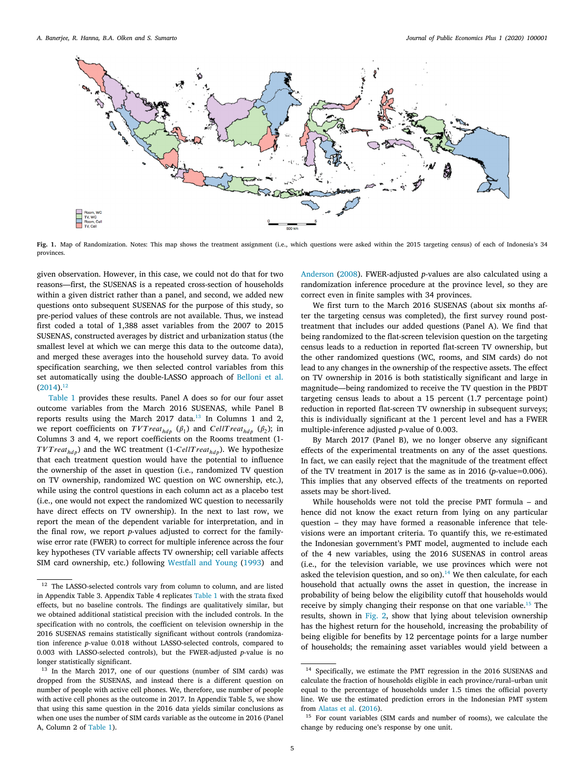

**Fig. 1.** Map of Randomization. Notes: This map shows the treatment assignment (i.e., which questions were asked within the 2015 targeting census) of each of Indonesia's 34 provinces.

given observation. However, in this case, we could not do that for two reasons—first, the SUSENAS is a repeated cross-section of households within a given district rather than a panel, and second, we added new questions onto subsequent SUSENAS for the purpose of this study, so pre-period values of these controls are not available. Thus, we instead first coded a total of 1,388 asset variables from the 2007 to 2015 SUSENAS, constructed averages by district and urbanization status (the smallest level at which we can merge this data to the outcome data), and merged these averages into the household survey data. To avoid specification searching, we then selected control variables from this set automatically using the double-LASSO approach of Belloni et al.  $(2014).^{12}$ 

Table 1 provides these results. Panel A does so for our four asset outcome variables from the March 2016 SUSENAS, while Panel B reports results using the March 2017 data.13 In Columns 1 and 2, we report coefficients on  $TVTreat_{hdp}$   $(\beta_1)$  and  $CellTreat_{hdp}$   $(\beta_2)$ ; in Columns 3 and 4, we report coefficients on the Rooms treatment (1-  $TVTreat_{hdp}$ ) and the WC treatment (1-*CellTreat<sub>hdp</sub>*). We hypothesize that each treatment question would have the potential to influence the ownership of the asset in question (i.e., randomized TV question on TV ownership, randomized WC question on WC ownership, etc.), while using the control questions in each column act as a placebo test (i.e., one would not expect the randomized WC question to necessarily have direct effects on TV ownership). In the next to last row, we report the mean of the dependent variable for interpretation, and in the final row, we report *p*-values adjusted to correct for the familywise error rate (FWER) to correct for multiple inference across the four key hypotheses (TV variable affects TV ownership; cell variable affects SIM card ownership, etc.) following Westfall and Young (1993) and

Anderson (2008). FWER-adjusted *p*-values are also calculated using a randomization inference procedure at the province level, so they are correct even in finite samples with 34 provinces.

We first turn to the March 2016 SUSENAS (about six months after the targeting census was completed), the first survey round posttreatment that includes our added questions (Panel A). We find that being randomized to the flat-screen television question on the targeting census leads to a reduction in reported flat-screen TV ownership, but the other randomized questions (WC, rooms, and SIM cards) do not lead to any changes in the ownership of the respective assets. The effect on TV ownership in 2016 is both statistically significant and large in magnitude—being randomized to receive the TV question in the PBDT targeting census leads to about a 15 percent (1.7 percentage point) reduction in reported flat-screen TV ownership in subsequent surveys; this is individually significant at the 1 percent level and has a FWER multiple-inference adjusted *p*-value of 0.003.

By March 2017 (Panel B), we no longer observe any significant effects of the experimental treatments on any of the asset questions. In fact, we can easily reject that the magnitude of the treatment effect of the TV treatment in 2017 is the same as in 2016 (*p*-value=0.006). This implies that any observed effects of the treatments on reported assets may be short-lived.

While households were not told the precise PMT formula – and hence did not know the exact return from lying on any particular question – they may have formed a reasonable inference that televisions were an important criteria. To quantify this, we re-estimated the Indonesian government's PMT model, augmented to include each of the 4 new variables, using the 2016 SUSENAS in control areas (i.e., for the television variable, we use provinces which were not asked the television question, and so on).<sup>14</sup> We then calculate, for each household that actually owns the asset in question, the increase in probability of being below the eligibility cutoff that households would receive by simply changing their response on that one variable.<sup>15</sup> The results, shown in Fig. 2, show that lying about television ownership has the highest return for the household, increasing the probability of being eligible for benefits by 12 percentage points for a large number of households; the remaining asset variables would yield between a

 $^{12}\,$  The LASSO-selected controls vary from column to column, and are listed in Appendix Table 3. Appendix Table 4 replicates Table 1 with the strata fixed effects, but no baseline controls. The findings are qualitatively similar, but we obtained additional statistical precision with the included controls. In the specification with no controls, the coefficient on television ownership in the 2016 SUSENAS remains statistically significant without controls (randomization inference *p*-value 0.018 without LASSO-selected controls, compared to 0.003 with LASSO-selected controls), but the FWER-adjusted *p*-value is no longer statistically significant.

<sup>&</sup>lt;sup>13</sup> In the March 2017, one of our questions (number of SIM cards) was dropped from the SUSENAS, and instead there is a different question on number of people with active cell phones. We, therefore, use number of people with active cell phones as the outcome in 2017. In Appendix Table 5, we show that using this same question in the 2016 data yields similar conclusions as when one uses the number of SIM cards variable as the outcome in 2016 (Panel A, Column 2 of Table 1).

Specifically, we estimate the PMT regression in the 2016 SUSENAS and calculate the fraction of households eligible in each province/rural–urban unit equal to the percentage of households under 1.5 times the official poverty line. We use the estimated prediction errors in the Indonesian PMT system from Alatas et al. (2016).

<sup>&</sup>lt;sup>15</sup> For count variables (SIM cards and number of rooms), we calculate the change by reducing one's response by one unit.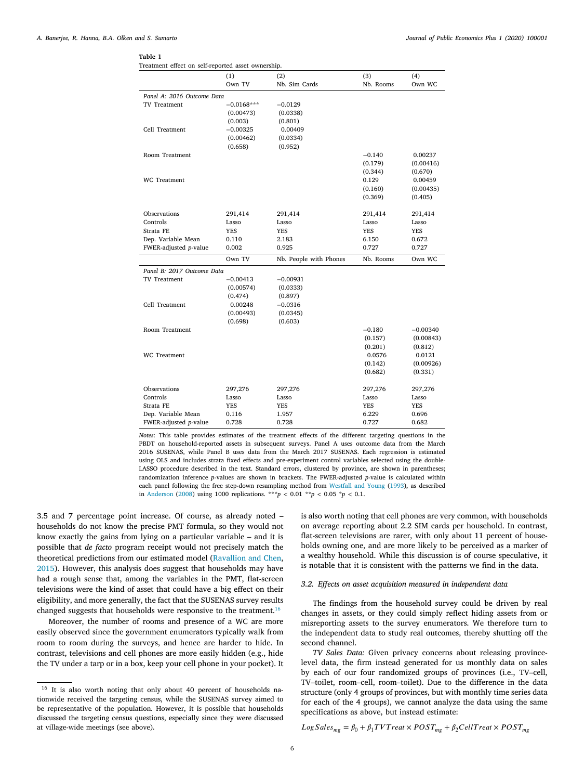# **Table 1**

|  |  |  | Treatment effect on self-reported asset ownership. |  |  |  |
|--|--|--|----------------------------------------------------|--|--|--|
|--|--|--|----------------------------------------------------|--|--|--|

|                            | (1)          | (2)                    | (3)        | (4)        |  |  |  |
|----------------------------|--------------|------------------------|------------|------------|--|--|--|
|                            | Own TV       | Nb. Sim Cards          | Nb. Rooms  | Own WC     |  |  |  |
| Panel A: 2016 Outcome Data |              |                        |            |            |  |  |  |
| <b>TV</b> Treatment        | $-0.0168***$ | $-0.0129$              |            |            |  |  |  |
|                            | (0.00473)    | (0.0338)               |            |            |  |  |  |
|                            | (0.003)      | (0.801)                |            |            |  |  |  |
| Cell Treatment             | $-0.00325$   | 0.00409                |            |            |  |  |  |
|                            | (0.00462)    | (0.0334)               |            |            |  |  |  |
|                            | (0.658)      | (0.952)                |            |            |  |  |  |
| Room Treatment             |              |                        | $-0.140$   | 0.00237    |  |  |  |
|                            |              |                        | (0.179)    | (0.00416)  |  |  |  |
|                            |              |                        | (0.344)    | (0.670)    |  |  |  |
| <b>WC</b> Treatment        |              |                        | 0.129      | 0.00459    |  |  |  |
|                            |              |                        | (0.160)    | (0.00435)  |  |  |  |
|                            |              |                        | (0.369)    | (0.405)    |  |  |  |
|                            |              |                        |            |            |  |  |  |
| Observations               | 291,414      | 291,414                | 291,414    | 291,414    |  |  |  |
| Controls                   | Lasso        | Lasso                  | Lasso      | Lasso      |  |  |  |
| Strata FE                  | YES          | YES                    | <b>YES</b> | <b>YES</b> |  |  |  |
| Dep. Variable Mean         | 0.110        | 2.183                  | 6.150      | 0.672      |  |  |  |
| FWER-adjusted p-value      | 0.002        | 0.925                  | 0.727      | 0.727      |  |  |  |
|                            | Own TV       | Nb. People with Phones | Nb. Rooms  | Own WC     |  |  |  |
| Panel B: 2017 Outcome Data |              |                        |            |            |  |  |  |
| <b>TV</b> Treatment        | $-0.00413$   | $-0.00931$             |            |            |  |  |  |
|                            | (0.00574)    | (0.0333)               |            |            |  |  |  |
|                            | (0.474)      | (0.897)                |            |            |  |  |  |
| Cell Treatment             | 0.00248      | $-0.0316$              |            |            |  |  |  |
|                            | (0.00493)    | (0.0345)               |            |            |  |  |  |
|                            | (0.698)      | (0.603)                |            |            |  |  |  |
| Room Treatment             |              |                        | $-0.180$   | $-0.00340$ |  |  |  |
|                            |              |                        | (0.157)    | (0.00843)  |  |  |  |
|                            |              |                        | (0.201)    | (0.812)    |  |  |  |
| <b>WC</b> Treatment        |              |                        | 0.0576     | 0.0121     |  |  |  |
|                            |              |                        | (0.142)    | (0.00926)  |  |  |  |
|                            |              |                        | (0.682)    | (0.331)    |  |  |  |
|                            |              |                        |            |            |  |  |  |
| Observations               | 297,276      | 297,276                | 297,276    | 297,276    |  |  |  |
| Controls                   | Lasso        | Lasso                  | Lasso      | Lasso      |  |  |  |
| Strata FE                  | YES          | YES                    | YES        | YES        |  |  |  |
| Dep. Variable Mean         | 0.116        | 1.957                  | 6.229      | 0.696      |  |  |  |
| FWER-adjusted p-value      | 0.728        | 0.728                  | 0.727      | 0.682      |  |  |  |

*Notes*: This table provides estimates of the treatment effects of the different targeting questions in the PBDT on household-reported assets in subsequent surveys. Panel A uses outcome data from the March 2016 SUSENAS, while Panel B uses data from the March 2017 SUSENAS. Each regression is estimated using OLS and includes strata fixed effects and pre-experiment control variables selected using the double-LASSO procedure described in the text. Standard errors, clustered by province, are shown in parentheses; randomization inference *p*-values are shown in brackets. The FWER-adjusted *p*-value is calculated within each panel following the free step-down resampling method from Westfall and Young (1993), as described in Anderson (2008) using 1000 replications. \*\*\**p* < 0.01 \**\*p* < 0.05 *\*p* < 0.1.

3.5 and 7 percentage point increase. Of course, as already noted – households do not know the precise PMT formula, so they would not know exactly the gains from lying on a particular variable – and it is possible that *de facto* program receipt would not precisely match the theoretical predictions from our estimated model (Ravallion and Chen, 2015). However, this analysis does suggest that households may have had a rough sense that, among the variables in the PMT, flat-screen televisions were the kind of asset that could have a big effect on their eligibility, and more generally, the fact that the SUSENAS survey results changed suggests that households were responsive to the treatment.<sup>16</sup>

Moreover, the number of rooms and presence of a WC are more easily observed since the government enumerators typically walk from room to room during the surveys, and hence are harder to hide. In contrast, televisions and cell phones are more easily hidden (e.g., hide the TV under a tarp or in a box, keep your cell phone in your pocket). It is also worth noting that cell phones are very common, with households on average reporting about 2.2 SIM cards per household. In contrast, flat-screen televisions are rarer, with only about 11 percent of households owning one, and are more likely to be perceived as a marker of a wealthy household. While this discussion is of course speculative, it is notable that it is consistent with the patterns we find in the data.

# *3.2. Effects on asset acquisition measured in independent data*

The findings from the household survey could be driven by real changes in assets, or they could simply reflect hiding assets from or misreporting assets to the survey enumerators. We therefore turn to the independent data to study real outcomes, thereby shutting off the second channel.

*TV Sales Data:* Given privacy concerns about releasing provincelevel data, the firm instead generated for us monthly data on sales by each of our four randomized groups of provinces (i.e., TV–cell, TV–toilet, room–cell, room–toilet). Due to the difference in the data structure (only 4 groups of provinces, but with monthly time series data for each of the 4 groups), we cannot analyze the data using the same specifications as above, but instead estimate:

 $Log Sales_{mg} = \beta_0 + \beta_1 TVTreat \times POST_{mg} + \beta_2 CellTreat \times POST_{mg}$ 

<sup>&</sup>lt;sup>16</sup> It is also worth noting that only about 40 percent of households nationwide received the targeting census, while the SUSENAS survey aimed to be representative of the population. However, it is possible that households discussed the targeting census questions, especially since they were discussed at village-wide meetings (see above).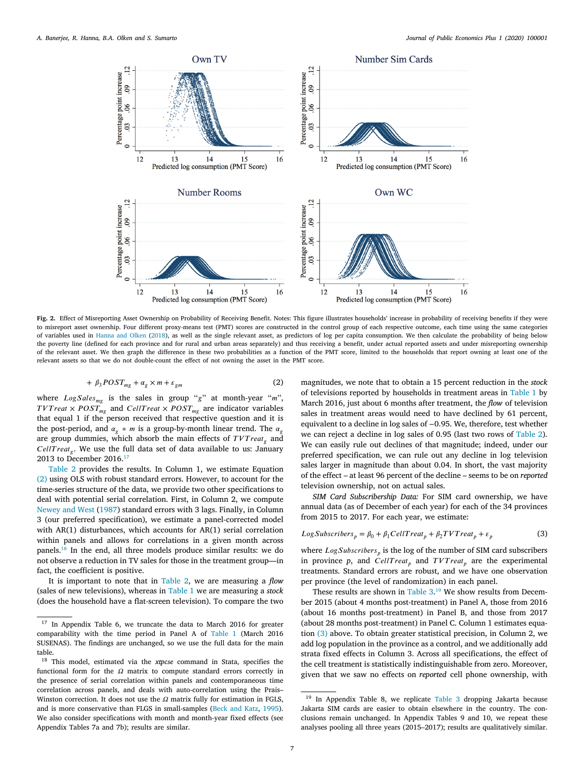

**Fig. 2.** Effect of Misreporting Asset Ownership on Probability of Receiving Benefit. Notes: This figure illustrates households' increase in probability of receiving benefits if they were to misreport asset ownership. Four different proxy-means test (PMT) scores are constructed in the control group of each respective outcome, each time using the same categories of variables used in Hanna and Olken (2018), as well as the single relevant asset, as predictors of log per capita consumption. We then calculate the probability of being below the poverty line (defined for each province and for rural and urban areas separately) and thus receiving a benefit, under actual reported assets and under misreporting ownership of the relevant asset. We then graph the difference in these two probabilities as a function of the PMT score, limited to the households that report owning at least one of the relevant assets so that we do not double-count the effect of not owning the asset in the PMT score.

$$
+\beta_3 POST_{mg} + \alpha_g \times m + \varepsilon_{gm} \tag{2}
$$

where  $Log Sales_{mg}$  is the sales in group "g" at month-year "m",  ×  and  ×  are indicator variables that equal 1 if the person received that respective question and it is the post-period, and  $\alpha_{\alpha} * m$  is a group-by-month linear trend. The  $\alpha_{\alpha}$ are group dummies, which absorb the main effects of *TVTreat*<sub>*s*</sub> and CellTreat<sub>g</sub>. We use the full data set of data available to us: January 2013 to December 2016.17

Table 2 provides the results. In Column 1, we estimate Equation (2) using OLS with robust standard errors. However, to account for the time-series structure of the data, we provide two other specifications to deal with potential serial correlation. First, in Column 2, we compute Newey and West (1987) standard errors with 3 lags. Finally, in Column 3 (our preferred specification), we estimate a panel-corrected model with AR(1) disturbances, which accounts for AR(1) serial correlation within panels and allows for correlations in a given month across panels.18 In the end, all three models produce similar results: we do not observe a reduction in TV sales for those in the treatment group—in fact, the coefficient is positive.

It is important to note that in Table 2, we are measuring a *flow* (sales of new televisions), whereas in Table 1 we are measuring a *stock* (does the household have a flat-screen television). To compare the two

magnitudes, we note that to obtain a 15 percent reduction in the *stock* of televisions reported by households in treatment areas in Table 1 by March 2016, just about 6 months after treatment, the *flow* of television sales in treatment areas would need to have declined by 61 percent, equivalent to a decline in log sales of −0.95. We, therefore, test whether we can reject a decline in log sales of 0.95 (last two rows of Table 2). We can easily rule out declines of that magnitude; indeed, under our preferred specification, we can rule out any decline in log television sales larger in magnitude than about 0.04. In short, the vast majority of the effect – at least 96 percent of the decline – seems to be on *reported* television ownership, not on actual sales.

*SIM Card Subscribership Data:* For SIM card ownership, we have annual data (as of December of each year) for each of the 34 provinces from 2015 to 2017. For each year, we estimate:

$$
LogSubscripts_p = \beta_0 + \beta_1 CellTreat_p + \beta_2 TVTreat_p + \varepsilon_p
$$
\n(3)

where  $LogSubscripts_p$  is the log of the number of SIM card subscribers in province  $p$ , and  $Cell Treat_n$  and  $TV Treat_n$  are the experimental treatments. Standard errors are robust, and we have one observation per province (the level of randomization) in each panel.

These results are shown in Table  $3.^{19}$  We show results from December 2015 (about 4 months post-treatment) in Panel A, those from 2016 (about 16 months post-treatment) in Panel B, and those from 2017 (about 28 months post-treatment) in Panel C. Column 1 estimates equation (3) above. To obtain greater statistical precision, in Column 2, we add log population in the province as a control, and we additionally add strata fixed effects in Column 3. Across all specifications, the effect of the cell treatment is statistically indistinguishable from zero. Moreover, given that we saw no effects on *reported* cell phone ownership, with

<sup>17</sup> In Appendix Table 6, we truncate the data to March 2016 for greater comparability with the time period in Panel A of Table 1 (March 2016 SUSENAS). The findings are unchanged, so we use the full data for the main table.

<sup>18</sup> This model, estimated via the *xtpcse* command in Stata, specifies the functional form for the  $\Omega$  matrix to compute standard errors correctly in the presence of serial correlation within panels and contemporaneous time correlation across panels, and deals with auto-correlation using the Prais– Winston correction. It does not use the  $\Omega$  matrix fully for estimation in FGLS, and is more conservative than FLGS in small-samples (Beck and Katz, 1995). We also consider specifications with month and month-year fixed effects (see Appendix Tables 7a and 7b); results are similar.

<sup>&</sup>lt;sup>19</sup> In Appendix Table 8, we replicate Table 3 dropping Jakarta because Jakarta SIM cards are easier to obtain elsewhere in the country. The conclusions remain unchanged. In Appendix Tables 9 and 10, we repeat these analyses pooling all three years (2015–2017); results are qualitatively similar.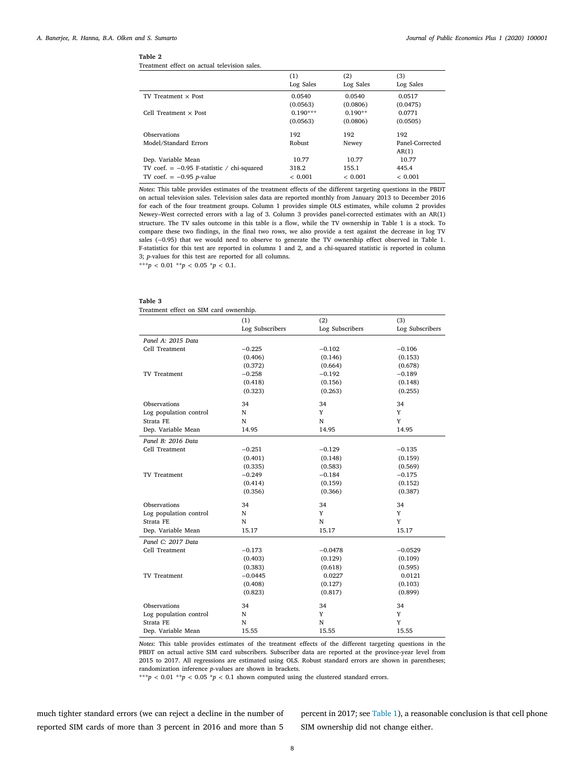# **Table 2**

Treatment effect on actual television sales.

|                                              | (1)        | (2)       | (3)             |
|----------------------------------------------|------------|-----------|-----------------|
|                                              | Log Sales  | Log Sales | Log Sales       |
| $TV$ Treatment $\times$ Post                 | 0.0540     | 0.0540    | 0.0517          |
|                                              | (0.0563)   | (0.0806)  | (0.0475)        |
| Cell Treatment $\times$ Post                 | $0.190***$ | $0.190**$ | 0.0771          |
|                                              | (0.0563)   | (0.0806)  | (0.0505)        |
| Observations                                 | 192        | 192       | 192             |
| Model/Standard Errors                        | Robust     | Newey     | Panel-Corrected |
|                                              |            |           | AR(1)           |
| Dep. Variable Mean                           | 10.77      | 10.77     | 10.77           |
| TV coef. $= -0.95$ F-statistic / chi-squared | 318.2      | 155.1     | 445.4           |
| TV coef. $= -0.95$ <i>p</i> -value           | < 0.001    | < 0.001   | ${}< 0.001$     |

*Notes*: This table provides estimates of the treatment effects of the different targeting questions in the PBDT on actual television sales. Television sales data are reported monthly from January 2013 to December 2016 for each of the four treatment groups. Column 1 provides simple OLS estimates, while column 2 provides Newey–West corrected errors with a lag of 3. Column 3 provides panel-corrected estimates with an AR(1) structure. The TV sales outcome in this table is a flow, while the TV ownership in Table 1 is a stock. To compare these two findings, in the final two rows, we also provide a test against the decrease in log TV sales (−0.95) that we would need to observe to generate the TV ownership effect observed in Table 1. F-statistics for this test are reported in columns 1 and 2, and a chi-squared statistic is reported in column 3; *p*-values for this test are reported for all columns.

\*\*\**p* < 0.01 \*\**p* < 0.05 \**p* < 0.1.

# **Table 3**

Treatment effect on SIM card ownership.

|                        | (1)             | (2)             | (3)             |
|------------------------|-----------------|-----------------|-----------------|
|                        | Log Subscribers | Log Subscribers | Log Subscribers |
| Panel A: 2015 Data     |                 |                 |                 |
| Cell Treatment         | $-0.225$        | $-0.102$        | $-0.106$        |
|                        | (0.406)         | (0.146)         | (0.153)         |
|                        | (0.372)         | (0.664)         | (0.678)         |
| <b>TV</b> Treatment    | $-0.258$        | $-0.192$        | $-0.189$        |
|                        | (0.418)         | (0.156)         | (0.148)         |
|                        | (0.323)         | (0.263)         | (0.255)         |
| Observations           | 34              | 34              | 34              |
| Log population control | N               | Y               | Y               |
| Strata FE              | N               | N               | Y               |
| Dep. Variable Mean     | 14.95           | 14.95           | 14.95           |
| Panel B: 2016 Data     |                 |                 |                 |
| Cell Treatment         | $-0.251$        | $-0.129$        | $-0.135$        |
|                        | (0.401)         | (0.148)         | (0.159)         |
|                        | (0.335)         | (0.583)         | (0.569)         |
| <b>TV Treatment</b>    | $-0.249$        | $-0.184$        | $-0.175$        |
|                        | (0.414)         | (0.159)         | (0.152)         |
|                        | (0.356)         | (0.366)         | (0.387)         |
| Observations           | 34              | 34              | 34              |
| Log population control | N               | Y               | Y               |
| Strata FE              | N               | N               | Y               |
| Dep. Variable Mean     | 15.17           | 15.17           | 15.17           |
| Panel C: 2017 Data     |                 |                 |                 |
| Cell Treatment         | $-0.173$        | $-0.0478$       | $-0.0529$       |
|                        | (0.403)         | (0.129)         | (0.109)         |
|                        | (0.383)         | (0.618)         | (0.595)         |
| <b>TV Treatment</b>    | $-0.0445$       | 0.0227          | 0.0121          |
|                        | (0.408)         | (0.127)         | (0.103)         |
|                        | (0.823)         | (0.817)         | (0.899)         |
| Observations           | 34              | 34              | 34              |
| Log population control | N               | Y               | Y               |
| Strata FE              | N               | N               | Y               |
| Dep. Variable Mean     | 15.55           | 15.55           | 15.55           |

*Notes*: This table provides estimates of the treatment effects of the different targeting questions in the PBDT on actual active SIM card subscribers. Subscriber data are reported at the province-year level from 2015 to 2017. All regressions are estimated using OLS. Robust standard errors are shown in parentheses; randomization inference *p*-values are shown in brackets.

 $^{***}p$  < 0.01  $^{**}p$  < 0.05  $^{*}p$  < 0.1 shown computed using the clustered standard errors.

much tighter standard errors (we can reject a decline in the number of reported SIM cards of more than 3 percent in 2016 and more than 5

percent in 2017; see Table 1), a reasonable conclusion is that cell phone SIM ownership did not change either.